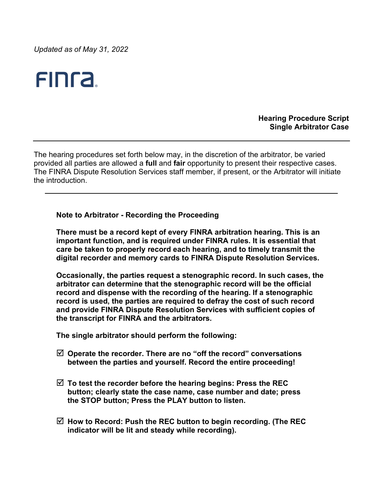*Updated as of May 31, 2022*

# FINT2.

**Hearing Procedure Script Single Arbitrator Case**

The hearing procedures set forth below may, in the discretion of the arbitrator, be varied provided all parties are allowed a **full** and **fair** opportunity to present their respective cases. The FINRA Dispute Resolution Services staff member, if present, or the Arbitrator will initiate the introduction.

**Note to Arbitrator - Recording the Proceeding**

**There must be a record kept of every FINRA arbitration hearing. This is an important function, and is required under FINRA rules. It is essential that care be taken to properly record each hearing, and to timely transmit the digital recorder and memory cards to FINRA Dispute Resolution Services.** 

**Occasionally, the parties request a stenographic record. In such cases, the arbitrator can determine that the stenographic record will be the official record and dispense with the recording of the hearing. If a stenographic record is used, the parties are required to defray the cost of such record and provide FINRA Dispute Resolution Services with sufficient copies of the transcript for FINRA and the arbitrators.**

**The single arbitrator should perform the following:**

- **Operate the recorder. There are no "off the record" conversations between the parties and yourself. Record the entire proceeding!**
- **To test the recorder before the hearing begins: Press the REC button; clearly state the case name, case number and date; press the STOP button; Press the PLAY button to listen.**
- **How to Record: Push the REC button to begin recording. (The REC indicator will be lit and steady while recording).**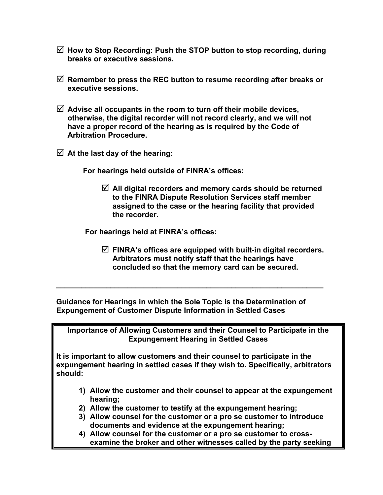- **How to Stop Recording: Push the STOP button to stop recording, during breaks or executive sessions.**
- **Remember to press the REC button to resume recording after breaks or executive sessions.**
- **Advise all occupants in the room to turn off their mobile devices, otherwise, the digital recorder will not record clearly, and we will not have a proper record of the hearing as is required by the Code of Arbitration Procedure.**
- **At the last day of the hearing:**

 **For hearings held outside of FINRA's offices:** 

 **All digital recorders and memory cards should be returned to the FINRA Dispute Resolution Services staff member assigned to the case or the hearing facility that provided the recorder.**

 **For hearings held at FINRA's offices:**

 **FINRA's offices are equipped with built-in digital recorders. Arbitrators must notify staff that the hearings have concluded so that the memory card can be secured.**

**Guidance for Hearings in which the Sole Topic is the Determination of Expungement of Customer Dispute Information in Settled Cases** 

**\_\_\_\_\_\_\_\_\_\_\_\_\_\_\_\_\_\_\_\_\_\_\_\_\_\_\_\_\_\_\_\_\_\_\_\_\_\_\_\_\_\_\_\_\_\_\_\_\_\_\_\_\_\_\_\_\_\_\_\_\_\_\_\_**

**Importance of Allowing Customers and their Counsel to Participate in the Expungement Hearing in Settled Cases**

**It is important to allow customers and their counsel to participate in the expungement hearing in settled cases if they wish to. Specifically, arbitrators should:**

- **1) Allow the customer and their counsel to appear at the expungement hearing;**
- **2) Allow the customer to testify at the expungement hearing;**
- **3) Allow counsel for the customer or a pro se customer to introduce documents and evidence at the expungement hearing;**
- **4) Allow counsel for the customer or a pro se customer to crossexamine the broker and other witnesses called by the party seeking**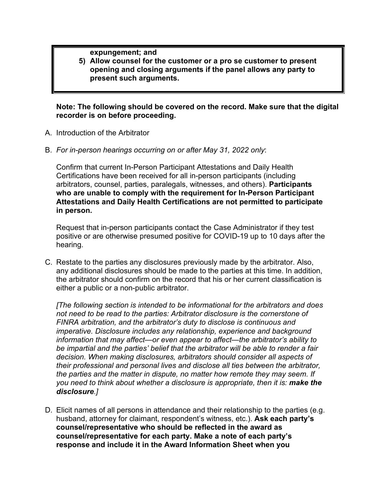**expungement; and**

**5) Allow counsel for the customer or a pro se customer to present opening and closing arguments if the panel allows any party to present such arguments.**

**Note: The following should be covered on the record. Make sure that the digital recorder is on before proceeding.**

- A. Introduction of the Arbitrator
- B. *For in-person hearings occurring on or after May 31, 2022 only*:

Confirm that current In-Person Participant Attestations and Daily Health Certifications have been received for all in-person participants (including arbitrators, counsel, parties, paralegals, witnesses, and others). **Participants who are unable to comply with the requirement for In-Person Participant Attestations and Daily Health Certifications are not permitted to participate in person.**

Request that in-person participants contact the Case Administrator if they test positive or are otherwise presumed positive for COVID-19 up to 10 days after the hearing.

C. Restate to the parties any disclosures previously made by the arbitrator. Also, any additional disclosures should be made to the parties at this time. In addition, the arbitrator should confirm on the record that his or her current classification is either a public or a non-public arbitrator.

*[The following section is intended to be informational for the arbitrators and does not need to be read to the parties: Arbitrator disclosure is the cornerstone of FINRA arbitration, and the arbitrator's duty to disclose is continuous and imperative. Disclosure includes any relationship, experience and background information that may affect—or even appear to affect—the arbitrator's ability to be impartial and the parties' belief that the arbitrator will be able to render a fair decision. When making disclosures, arbitrators should consider all aspects of their professional and personal lives and disclose all ties between the arbitrator, the parties and the matter in dispute, no matter how remote they may seem. If you need to think about whether a disclosure is appropriate, then it is: make the disclosure.]*

D. Elicit names of all persons in attendance and their relationship to the parties (e.g. husband, attorney for claimant, respondent's witness, etc.). **Ask each party's counsel/representative who should be reflected in the award as counsel/representative for each party. Make a note of each party's response and include it in the Award Information Sheet when you**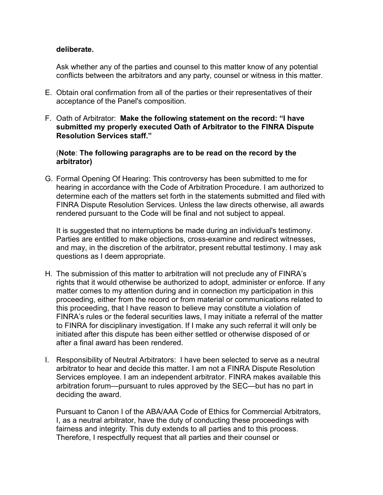## **deliberate.**

Ask whether any of the parties and counsel to this matter know of any potential conflicts between the arbitrators and any party, counsel or witness in this matter.

- E. Obtain oral confirmation from all of the parties or their representatives of their acceptance of the Panel's composition.
- F. Oath of Arbitrator: **Make the following statement on the record: "I have submitted my properly executed Oath of Arbitrator to the FINRA Dispute Resolution Services staff."**

## (**Note**: **The following paragraphs are to be read on the record by the arbitrator)**

G. Formal Opening Of Hearing: This controversy has been submitted to me for hearing in accordance with the Code of Arbitration Procedure. I am authorized to determine each of the matters set forth in the statements submitted and filed with FINRA Dispute Resolution Services. Unless the law directs otherwise, all awards rendered pursuant to the Code will be final and not subject to appeal.

It is suggested that no interruptions be made during an individual's testimony. Parties are entitled to make objections, cross-examine and redirect witnesses, and may, in the discretion of the arbitrator, present rebuttal testimony. I may ask questions as I deem appropriate.

- H. The submission of this matter to arbitration will not preclude any of FINRA's rights that it would otherwise be authorized to adopt, administer or enforce. If any matter comes to my attention during and in connection my participation in this proceeding, either from the record or from material or communications related to this proceeding, that I have reason to believe may constitute a violation of FINRA's rules or the federal securities laws, I may initiate a referral of the matter to FINRA for disciplinary investigation. If I make any such referral it will only be initiated after this dispute has been either settled or otherwise disposed of or after a final award has been rendered.
- I. Responsibility of Neutral Arbitrators: I have been selected to serve as a neutral arbitrator to hear and decide this matter. I am not a FINRA Dispute Resolution Services employee. I am an independent arbitrator. FINRA makes available this arbitration forum—pursuant to rules approved by the SEC—but has no part in deciding the award.

Pursuant to Canon I of the ABA/AAA Code of Ethics for Commercial Arbitrators, I, as a neutral arbitrator, have the duty of conducting these proceedings with fairness and integrity. This duty extends to all parties and to this process. Therefore, I respectfully request that all parties and their counsel or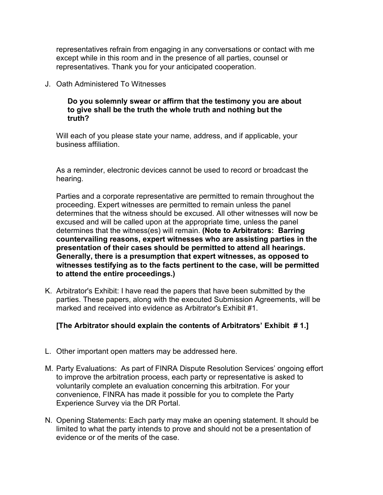representatives refrain from engaging in any conversations or contact with me except while in this room and in the presence of all parties, counsel or representatives. Thank you for your anticipated cooperation.

J. Oath Administered To Witnesses

## **Do you solemnly swear or affirm that the testimony you are about to give shall be the truth the whole truth and nothing but the truth?**

Will each of you please state your name, address, and if applicable, your business affiliation.

As a reminder, electronic devices cannot be used to record or broadcast the hearing.

Parties and a corporate representative are permitted to remain throughout the proceeding. Expert witnesses are permitted to remain unless the panel determines that the witness should be excused. All other witnesses will now be excused and will be called upon at the appropriate time, unless the panel determines that the witness(es) will remain. **(Note to Arbitrators: Barring countervailing reasons, expert witnesses who are assisting parties in the presentation of their cases should be permitted to attend all hearings. Generally, there is a presumption that expert witnesses, as opposed to witnesses testifying as to the facts pertinent to the case, will be permitted to attend the entire proceedings.)**

K. Arbitrator's Exhibit: I have read the papers that have been submitted by the parties. These papers, along with the executed Submission Agreements, will be marked and received into evidence as Arbitrator's Exhibit #1.

## **[The Arbitrator should explain the contents of Arbitrators' Exhibit # 1.]**

- L. Other important open matters may be addressed here.
- M. Party Evaluations: As part of FINRA Dispute Resolution Services' ongoing effort to improve the arbitration process, each party or representative is asked to voluntarily complete an evaluation concerning this arbitration. For your convenience, FINRA has made it possible for you to complete the Party Experience Survey via the DR Portal.
- N. Opening Statements: Each party may make an opening statement. It should be limited to what the party intends to prove and should not be a presentation of evidence or of the merits of the case.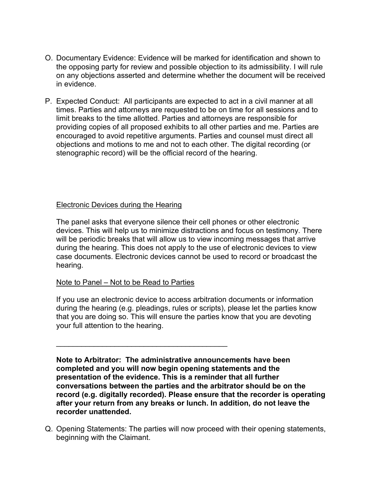- O. Documentary Evidence: Evidence will be marked for identification and shown to the opposing party for review and possible objection to its admissibility. I will rule on any objections asserted and determine whether the document will be received in evidence.
- P. Expected Conduct: All participants are expected to act in a civil manner at all times. Parties and attorneys are requested to be on time for all sessions and to limit breaks to the time allotted. Parties and attorneys are responsible for providing copies of all proposed exhibits to all other parties and me. Parties are encouraged to avoid repetitive arguments. Parties and counsel must direct all objections and motions to me and not to each other. The digital recording (or stenographic record) will be the official record of the hearing.

## Electronic Devices during the Hearing

The panel asks that everyone silence their cell phones or other electronic devices. This will help us to minimize distractions and focus on testimony. There will be periodic breaks that will allow us to view incoming messages that arrive during the hearing. This does not apply to the use of electronic devices to view case documents. Electronic devices cannot be used to record or broadcast the hearing.

#### Note to Panel – Not to be Read to Parties

\_\_\_\_\_\_\_\_\_\_\_\_\_\_\_\_\_\_\_\_\_\_\_\_\_\_\_\_\_\_\_\_\_\_\_\_\_\_\_\_\_

If you use an electronic device to access arbitration documents or information during the hearing (e.g. pleadings, rules or scripts), please let the parties know that you are doing so. This will ensure the parties know that you are devoting your full attention to the hearing.

**Note to Arbitrator: The administrative announcements have been completed and you will now begin opening statements and the presentation of the evidence. This is a reminder that all further conversations between the parties and the arbitrator should be on the record (e.g. digitally recorded). Please ensure that the recorder is operating after your return from any breaks or lunch. In addition, do not leave the recorder unattended.** 

Q. Opening Statements: The parties will now proceed with their opening statements, beginning with the Claimant.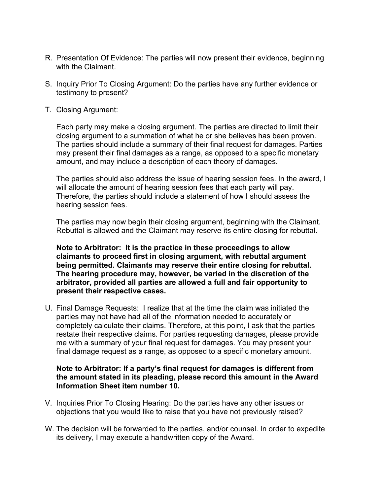- R. Presentation Of Evidence: The parties will now present their evidence, beginning with the Claimant.
- S. Inquiry Prior To Closing Argument: Do the parties have any further evidence or testimony to present?
- T. Closing Argument:

Each party may make a closing argument. The parties are directed to limit their closing argument to a summation of what he or she believes has been proven. The parties should include a summary of their final request for damages. Parties may present their final damages as a range, as opposed to a specific monetary amount, and may include a description of each theory of damages.

The parties should also address the issue of hearing session fees. In the award, I will allocate the amount of hearing session fees that each party will pay. Therefore, the parties should include a statement of how I should assess the hearing session fees.

The parties may now begin their closing argument, beginning with the Claimant. Rebuttal is allowed and the Claimant may reserve its entire closing for rebuttal.

**Note to Arbitrator: It is the practice in these proceedings to allow claimants to proceed first in closing argument, with rebuttal argument being permitted. Claimants may reserve their entire closing for rebuttal. The hearing procedure may, however, be varied in the discretion of the arbitrator, provided all parties are allowed a full and fair opportunity to present their respective cases.**

U. Final Damage Requests: I realize that at the time the claim was initiated the parties may not have had all of the information needed to accurately or completely calculate their claims. Therefore, at this point, I ask that the parties restate their respective claims. For parties requesting damages, please provide me with a summary of your final request for damages. You may present your final damage request as a range, as opposed to a specific monetary amount.

## **Note to Arbitrator: If a party's final request for damages is different from the amount stated in its pleading, please record this amount in the Award Information Sheet item number 10.**

- V. Inquiries Prior To Closing Hearing: Do the parties have any other issues or objections that you would like to raise that you have not previously raised?
- W. The decision will be forwarded to the parties, and/or counsel. In order to expedite its delivery, I may execute a handwritten copy of the Award.